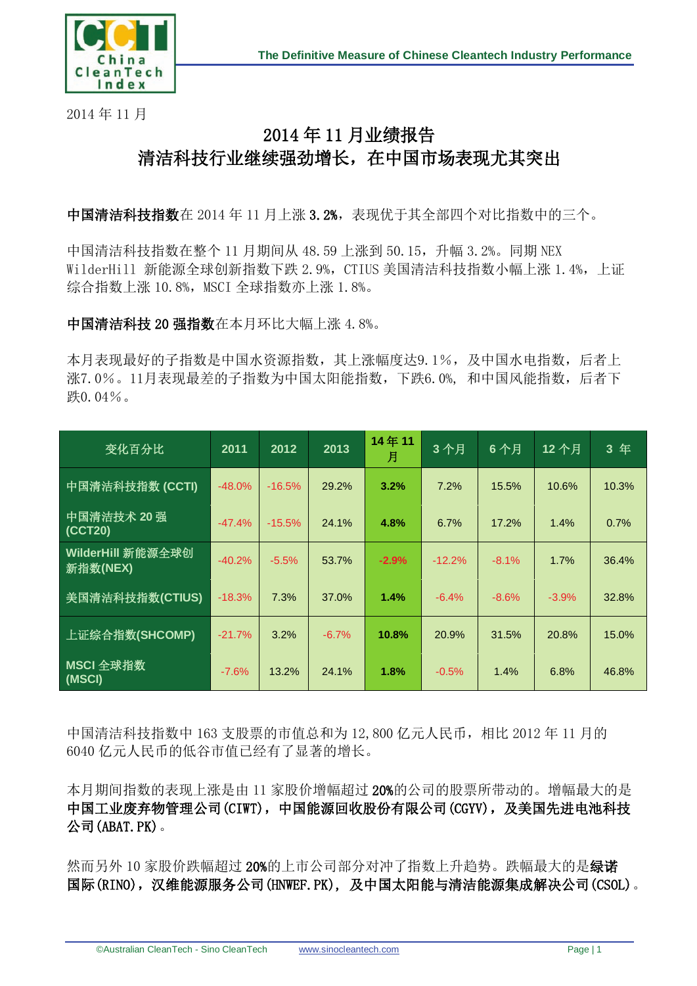

2014 年 11 月

## 2014 年 11 月业绩报告 清洁科技行业继续强劲增长,在中国市场表现尤其突出

中国清洁科技指数在 2014 年 11 月上涨 3.2%,表现优于其全部四个对比指数中的三个。

中国清洁科技指数在整个 11 月期间从 48.59 上涨到 50.15,升幅 3.2%。同期 NEX WilderHill 新能源全球创新指数下跌 2.9%, CTIUS 美国清洁科技指数小幅上涨 1.4%, 上证 综合指数上涨 10.8%, MSCI 全球指数亦上涨 1.8%。

中国清洁科技 20 强指数在本月环比大幅上涨 4.8%。

本月表现最好的子指数是中国水资源指数,其上涨幅度达9.1%,及中国水电指数,后者上 涨7.0%。11月表现最差的子指数为中国太阳能指数,下跌6.0%, 和中国风能指数,后者下 跌0.04%。

| 变化百分比                         | 2011     | 2012     | 2013    | 14年11<br>月 | 3个月      | 6个月     | 12个月    | 3年    |
|-------------------------------|----------|----------|---------|------------|----------|---------|---------|-------|
| 中国清洁科技指数 (CCTI)               | $-48.0%$ | $-16.5%$ | 29.2%   | 3.2%       | 7.2%     | 15.5%   | 10.6%   | 10.3% |
| 中国清洁技术 20 强<br>(CCT20)        | $-47.4%$ | $-15.5%$ | 24.1%   | 4.8%       | 6.7%     | 17.2%   | 1.4%    | 0.7%  |
| WilderHill 新能源全球创<br>新指数(NEX) | $-40.2%$ | $-5.5%$  | 53.7%   | $-2.9%$    | $-12.2%$ | $-8.1%$ | 1.7%    | 36.4% |
| 美国清洁科技指数(CTIUS)               | $-18.3%$ | 7.3%     | 37.0%   | 1.4%       | $-6.4%$  | $-8.6%$ | $-3.9%$ | 32.8% |
| 上证综合指数(SHCOMP)                | $-21.7%$ | 3.2%     | $-6.7%$ | 10.8%      | 20.9%    | 31.5%   | 20.8%   | 15.0% |
| MSCI 全球指数<br>(MSCI)           | $-7.6%$  | 13.2%    | 24.1%   | 1.8%       | $-0.5%$  | 1.4%    | 6.8%    | 46.8% |

中国清洁科技指数中 163 支股票的市值总和为 12,800 亿元人民币,相比 2012 年 11 月的 6040 亿元人民币的低谷市值已经有了显著的增长。

本月期间指数的表现上涨是由 11 家股价增幅超过 20%的公司的股票所带动的。增幅最大的是 中国工业废弃物管理公司(CIWT),中国能源回收股份有限公司(CGYV),及美国先进电池科技 公司(ABAT.PK)。

然而另外 10 家股价跌幅超过 20%的上市公司部分对冲了指数上升趋势。跌幅最大的是绿诺 国际(RINO),汉维能源服务公司(HNWEF.PK), 及中国太阳能与清洁能源集成解决公司(CSOL)。